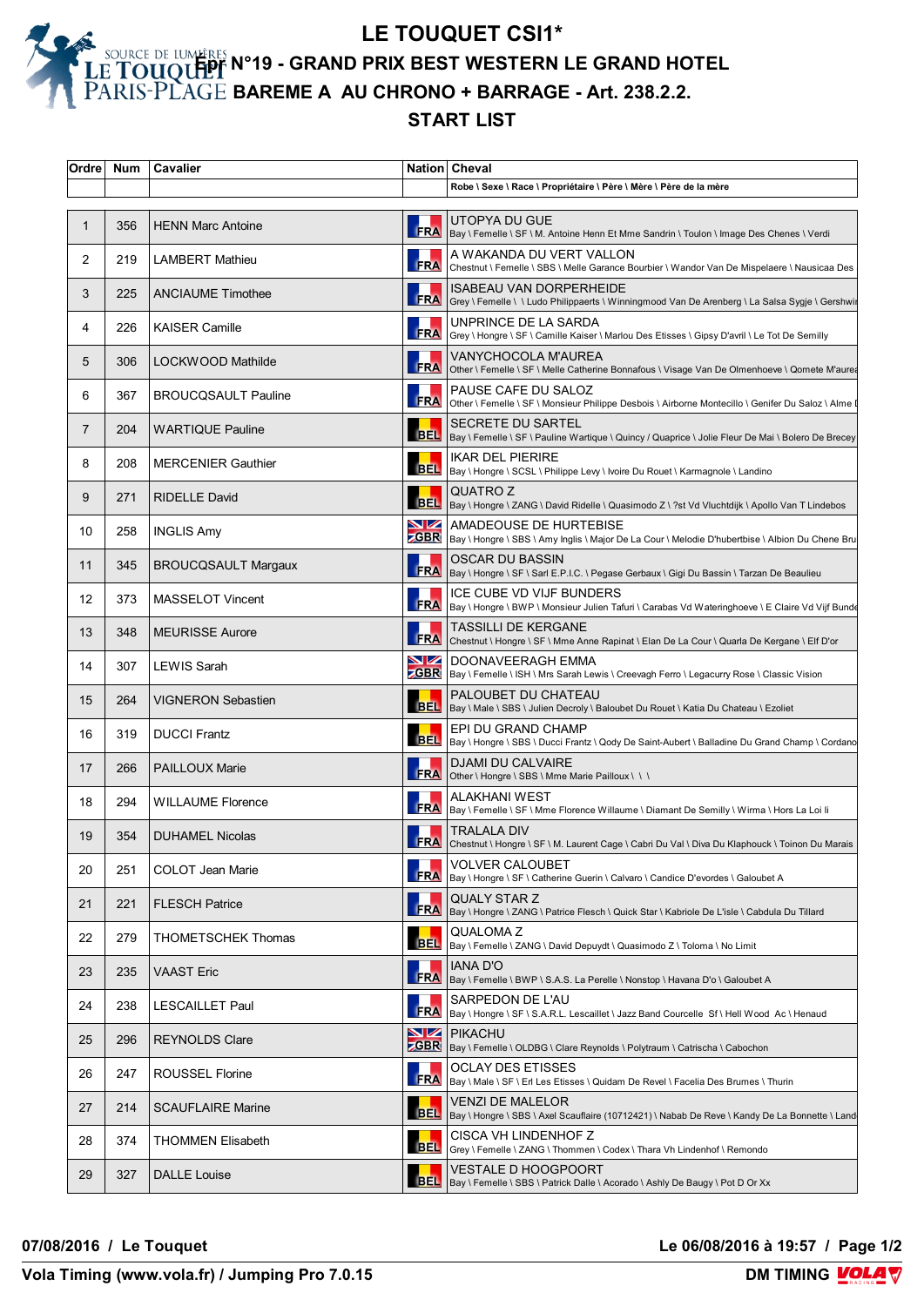**LE TOUQUET CSI1\* Épr N°19 - GRAND PRIX BEST WESTERN LE GRAND HOTEL BAREME A AU CHRONO + BARRAGE - Art. 238.2.2.**

## **START LIST**

| Ordre       | Num | Cavalier                   |                       | Nation Cheval                                                                                                                           |
|-------------|-----|----------------------------|-----------------------|-----------------------------------------------------------------------------------------------------------------------------------------|
|             |     |                            |                       | Robe \ Sexe \ Race \ Propriétaire \ Père \ Mère \ Père de la mère                                                                       |
| $\mathbf 1$ | 356 | <b>HENN Marc Antoine</b>   | <b>FRA</b>            | UTOPYA DU GUE<br>Bay \ Femelle \ SF \ M. Antoine Henn Et Mme Sandrin \ Toulon \ Image Des Chenes \ Verdi                                |
| 2           | 219 | <b>LAMBERT Mathieu</b>     | FRA                   | A WAKANDA DU VERT VALLON<br>Chestnut \ Femelle \ SBS \ Melle Garance Bourbier \ Wandor Van De Mispelaere \ Nausicaa Des                 |
| 3           | 225 | <b>ANCIAUME Timothee</b>   | FRA                   | ISABEAU VAN DORPERHEIDE<br>Grey \ Femelle \ \ Ludo Philippaerts \ Winningmood Van De Arenberg \ La Salsa Sygje \ Gershwir               |
| 4           | 226 | <b>KAISER Camille</b>      | FRA                   | UNPRINCE DE LA SARDA<br>Grey \ Hongre \ SF \ Camille Kaiser \ Marlou Des Etisses \ Gipsy D'avril \ Le Tot De Semilly                    |
| 5           | 306 | LOCKWOOD Mathilde          | FRA                   | VANYCHOCOLA M'AUREA<br>Other \ Femelle \ SF \ Melle Catherine Bonnafous \ Visage Van De Olmenhoeve \ Qomete M'aurea                     |
| 6           | 367 | <b>BROUCQSAULT Pauline</b> | <b>FRA</b>            | PAUSE CAFE DU SALOZ<br>Other \ Femelle \ SF \ Monsieur Philippe Desbois \ Airborne Montecillo \ Genifer Du Saloz \ Alme                 |
| 7           | 204 | <b>WARTIQUE Pauline</b>    | <b>BEL</b>            | <b>SECRETE DU SARTEL</b><br>Bay \ Femelle \ SF \ Pauline Wartique \ Quincy / Quaprice \ Jolie Fleur De Mai \ Bolero De Brecey           |
| 8           | 208 | <b>MERCENIER Gauthier</b>  | <b>BEL</b>            | <b>IKAR DEL PIERIRE</b><br>Bay \ Hongre \ SCSL \ Philippe Levy \ Ivoire Du Rouet \ Karmagnole \ Landino                                 |
| 9           | 271 | <b>RIDELLE David</b>       | <b>BEL</b>            | QUATRO Z<br>Bay \ Hongre \ ZANG \ David Ridelle \ Quasimodo Z \ ?st Vd Vluchtdijk \ Apollo Van T Lindebos                               |
| 10          | 258 | <b>INGLIS Amy</b>          | $\blacksquare$        | AMADEOUSE DE HURTEBISE<br><b>ZGBR</b>   Bay \ Hongre \ SBS \ Amy Inglis \ Major De La Cour \ Melodie D'hubertbise \ Albion Du Chene Bru |
| 11          | 345 | <b>BROUCQSAULT Margaux</b> |                       | <b>OSCAR DU BASSIN</b><br>FRA Bay \ Hongre \ SF \ Sarl E.P.I.C. \ Pegase Gerbaux \ Gigi Du Bassin \ Tarzan De Beaulieu                  |
| 12          | 373 | <b>MASSELOT Vincent</b>    | <b>FRA</b>            | ICE CUBE VD VIJF BUNDERS<br>Bay \ Hongre \ BWP \ Monsieur Julien Tafuri \ Carabas Vd Wateringhoeve \ E Claire Vd Vijf Bunde             |
| 13          | 348 | <b>MEURISSE Aurore</b>     | <b>FRA</b>            | TASSILLI DE KERGANE<br>Chestnut \ Hongre \ SF \ Mme Anne Rapinat \ Elan De La Cour \ Quarla De Kergane \ Elf D'or                       |
| 14          | 307 | LEWIS Sarah                | $\blacksquare$        | DOONAVEERAGH EMMA<br><b>CGBR</b>   Bay \ Femelle \ ISH \ Mrs Sarah Lewis \ Creevagh Ferro \ Legacurry Rose \ Classic Vision             |
| 15          | 264 | <b>VIGNERON Sebastien</b>  | <b>BEL</b>            | PALOUBET DU CHATEAU<br>Bay \ Male \ SBS \ Julien Decroly \ Baloubet Du Rouet \ Katia Du Chateau \ Ezoliet                               |
| 16          | 319 | <b>DUCCI Frantz</b>        | <b>BEL</b>            | EPI DU GRAND CHAMP<br>Bay \ Hongre \ SBS \ Ducci Frantz \ Qody De Saint-Aubert \ Balladine Du Grand Champ \ Cordano                     |
| 17          | 266 | <b>PAILLOUX Marie</b>      | <b>FRA</b>            | <b>DJAMI DU CALVAIRE</b><br>Other \ Hongre \ SBS \ Mme Marie Pailloux \ \ \                                                             |
| 18          | 294 | <b>WILLAUME Florence</b>   | <b>FRA</b>            | <b>ALAKHANI WEST</b><br>Bay \ Femelle \ SF \ Mme Florence Willaume \ Diamant De Semilly \ Wirma \ Hors La Loi li                        |
| 19          | 354 | <b>DUHAMEL Nicolas</b>     |                       | TRALALA DIV<br>FRA Chestnut \ Hongre \ SF \ M. Laurent Cage \ Cabri Du Val \ Diva Du Klaphouck \ Toinon Du Marais                       |
| 20          | 251 | COLOT Jean Marie           | <b>FRA</b>            | VOLVER CALOUBET<br>Bay \ Hongre \ SF \ Catherine Guerin \ Calvaro \ Candice D'evordes \ Galoubet A                                      |
| 21          | 221 | <b>FLESCH Patrice</b>      | <b>FRA</b>            | QUALY STAR Z<br>Bay \ Hongre \ ZANG \ Patrice Flesch \ Quick Star \ Kabriole De L'isle \ Cabdula Du Tillard                             |
| 22          | 279 | THOMETSCHEK Thomas         | <b>BEL</b>            | QUALOMA Z<br>Bay \ Femelle \ ZANG \ David Depuydt \ Quasimodo Z \ Toloma \ No Limit                                                     |
| 23          | 235 | <b>VAAST Eric</b>          | <b>FRA</b>            | IANA D'O<br>Bay \ Femelle \ BWP \ S.A.S. La Perelle \ Nonstop \ Havana D'o \ Galoubet A                                                 |
| 24          | 238 | <b>LESCAILLET Paul</b>     | <b>FRA</b>            | SARPEDON DE L'AU<br>Bay \ Hongre \ SF \ S.A.R.L. Lescaillet \ Jazz Band Courcelle Sf \ Hell Wood Ac \ Henaud                            |
| 25          | 296 | <b>REYNOLDS Clare</b>      | $\blacktriangleright$ | <b>PIKACHU</b><br><b>ZGBR</b>   Bay \ Femelle \ OLDBG \ Clare Reynolds \ Polytraum \ Catrischa \ Cabochon                               |
| 26          | 247 | ROUSSEL Florine            | <b>FRA</b>            | <b>OCLAY DES ETISSES</b><br>Bay \ Male \ SF \ Erl Les Etisses \ Quidam De Revel \ Facelia Des Brumes \ Thurin                           |
| 27          | 214 | <b>SCAUFLAIRE Marine</b>   | <b>BEL</b>            | VENZI DE MALELOR<br>Bay \ Hongre \ SBS \ Axel Scauflaire (10712421) \ Nabab De Reve \ Kandy De La Bonnette \ Land                       |
| 28          | 374 | <b>THOMMEN Elisabeth</b>   | <b>BEL</b>            | CISCA VH LINDENHOF Z<br>Grey \ Femelle \ ZANG \ Thommen \ Codex \ Thara Vh Lindenhof \ Remondo                                          |
| 29          | 327 | <b>DALLE Louise</b>        | <b>BEL</b>            | VESTALE D HOOGPOORT<br>Bay \ Femelle \ SBS \ Patrick Dalle \ Acorado \ Ashly De Baugy \ Pot D Or Xx                                     |

**07/08/2016 / Le Touquet Le 06/08/2016 à 19:57 / Page 1/2**